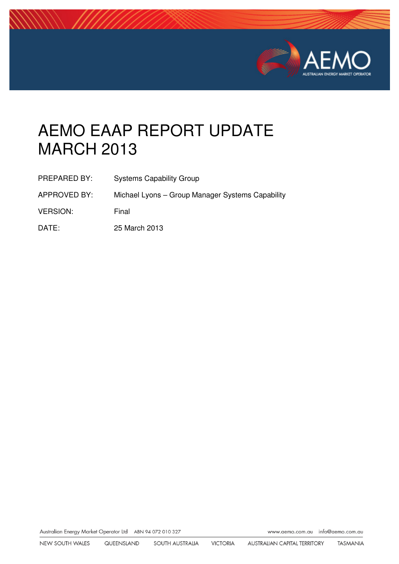

# AEMO EAAP REPORT UPDATE MARCH 2013

| PREPARED BY:    | <b>Systems Capability Group</b>                  |
|-----------------|--------------------------------------------------|
| APPROVED BY:    | Michael Lyons - Group Manager Systems Capability |
| <b>VERSION:</b> | Final                                            |
| DATE:           | 25 March 2013                                    |

Australian Energy Market Operator Ltd ABN 94 072 010 327

www.aemo.com.au info@aemo.com.au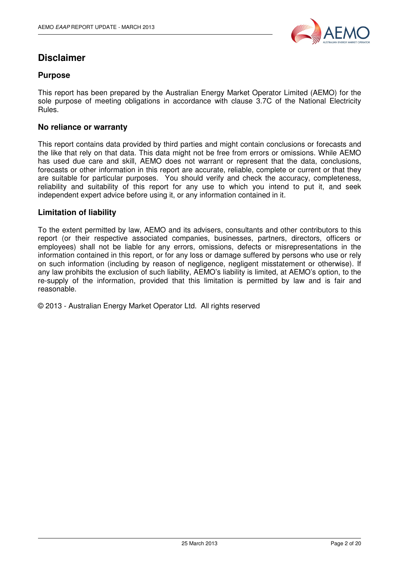

## **Disclaimer**

#### **Purpose**

This report has been prepared by the Australian Energy Market Operator Limited (AEMO) for the sole purpose of meeting obligations in accordance with clause 3.7C of the National Electricity Rules.

#### **No reliance or warranty**

This report contains data provided by third parties and might contain conclusions or forecasts and the like that rely on that data. This data might not be free from errors or omissions. While AEMO has used due care and skill, AEMO does not warrant or represent that the data, conclusions, forecasts or other information in this report are accurate, reliable, complete or current or that they are suitable for particular purposes. You should verify and check the accuracy, completeness, reliability and suitability of this report for any use to which you intend to put it, and seek independent expert advice before using it, or any information contained in it.

#### **Limitation of liability**

To the extent permitted by law, AEMO and its advisers, consultants and other contributors to this report (or their respective associated companies, businesses, partners, directors, officers or employees) shall not be liable for any errors, omissions, defects or misrepresentations in the information contained in this report, or for any loss or damage suffered by persons who use or rely on such information (including by reason of negligence, negligent misstatement or otherwise). If any law prohibits the exclusion of such liability, AEMO's liability is limited, at AEMO's option, to the re-supply of the information, provided that this limitation is permitted by law and is fair and reasonable.

© 2013 - Australian Energy Market Operator Ltd. All rights reserved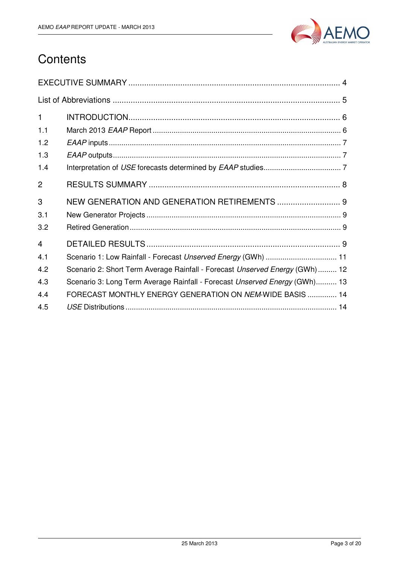

## **Contents**

| $\mathbf{1}$   |                                                                             |
|----------------|-----------------------------------------------------------------------------|
| 1.1            |                                                                             |
| 1.2            |                                                                             |
| 1.3            |                                                                             |
| 1.4            |                                                                             |
| $\overline{2}$ |                                                                             |
| 3              |                                                                             |
| 3.1            |                                                                             |
| 3.2            |                                                                             |
| 4              |                                                                             |
| 4.1            | Scenario 1: Low Rainfall - Forecast Unserved Energy (GWh)  11               |
| 4.2            | Scenario 2: Short Term Average Rainfall - Forecast Unserved Energy (GWh) 12 |
| 4.3            | Scenario 3: Long Term Average Rainfall - Forecast Unserved Energy (GWh) 13  |
| 4.4            | FORECAST MONTHLY ENERGY GENERATION ON NEM-WIDE BASIS  14                    |
| 4.5            |                                                                             |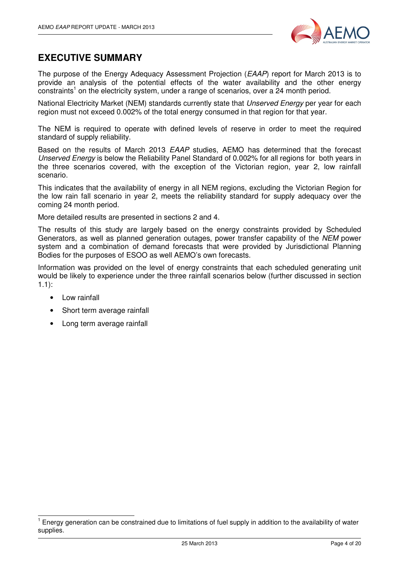

### **EXECUTIVE SUMMARY**

The purpose of the Energy Adequacy Assessment Projection (EAAP) report for March 2013 is to provide an analysis of the potential effects of the water availability and the other energy  $\rm{constraints}^1$  on the electricity system, under a range of scenarios, over a 24 month period.

National Electricity Market (NEM) standards currently state that *Unserved Energy* per year for each region must not exceed 0.002% of the total energy consumed in that region for that year.

The NEM is required to operate with defined levels of reserve in order to meet the required standard of supply reliability.

Based on the results of March 2013 EAAP studies, AEMO has determined that the forecast Unserved Energy is below the Reliability Panel Standard of 0.002% for all regions for both years in the three scenarios covered, with the exception of the Victorian region, year 2, low rainfall scenario.

This indicates that the availability of energy in all NEM regions, excluding the Victorian Region for the low rain fall scenario in year 2, meets the reliability standard for supply adequacy over the coming 24 month period.

More detailed results are presented in sections 2 and 4.

The results of this study are largely based on the energy constraints provided by Scheduled Generators, as well as planned generation outages, power transfer capability of the NEM power system and a combination of demand forecasts that were provided by Jurisdictional Planning Bodies for the purposes of ESOO as well AEMO's own forecasts.

Information was provided on the level of energy constraints that each scheduled generating unit would be likely to experience under the three rainfall scenarios below (further discussed in section 1.1):

• Low rainfall

j

- Short term average rainfall
- Long term average rainfall

<sup>1</sup> Energy generation can be constrained due to limitations of fuel supply in addition to the availability of water supplies.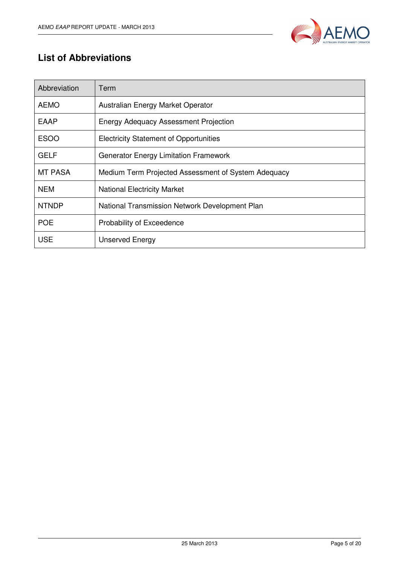

## **List of Abbreviations**

| Abbreviation   | Term                                                |
|----------------|-----------------------------------------------------|
| <b>AEMO</b>    | Australian Energy Market Operator                   |
| <b>EAAP</b>    | <b>Energy Adequacy Assessment Projection</b>        |
| <b>ESOO</b>    | <b>Electricity Statement of Opportunities</b>       |
| <b>GELF</b>    | <b>Generator Energy Limitation Framework</b>        |
| <b>MT PASA</b> | Medium Term Projected Assessment of System Adequacy |
| <b>NEM</b>     | <b>National Electricity Market</b>                  |
| <b>NTNDP</b>   | National Transmission Network Development Plan      |
| <b>POE</b>     | Probability of Exceedence                           |
| <b>USE</b>     | <b>Unserved Energy</b>                              |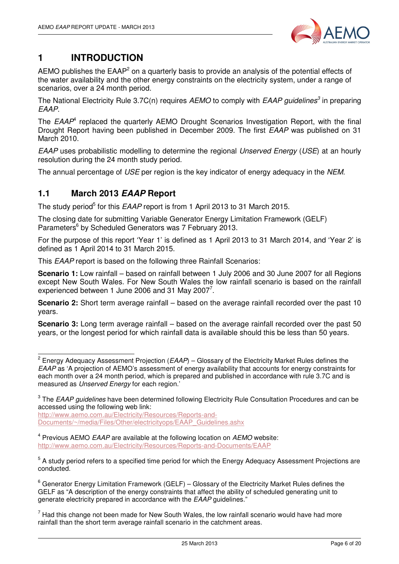

## **1 INTRODUCTION**

AEMO publishes the EAAP<sup>2</sup> on a quarterly basis to provide an analysis of the potential effects of the water availability and the other energy constraints on the electricity system, under a range of scenarios, over a 24 month period.

The National Electricity Rule 3.7C(n) requires AEMO to comply with EAAP guidelines<sup>3</sup> in preparing EAAP.

The  $EAAP<sup>4</sup>$  replaced the quarterly AEMO Drought Scenarios Investigation Report, with the final Drought Report having been published in December 2009. The first EAAP was published on 31 March 2010.

EAAP uses probabilistic modelling to determine the regional Unserved Energy (USE) at an hourly resolution during the 24 month study period.

The annual percentage of USE per region is the key indicator of energy adequacy in the NEM.

#### **1.1 March 2013 EAAP Report**

The study period<sup>5</sup> for this EAAP report is from 1 April 2013 to 31 March 2015.

The closing date for submitting Variable Generator Energy Limitation Framework (GELF) Parameters<sup>6</sup> by Scheduled Generators was 7 February 2013.

For the purpose of this report 'Year 1' is defined as 1 April 2013 to 31 March 2014, and 'Year 2' is defined as 1 April 2014 to 31 March 2015.

This EAAP report is based on the following three Rainfall Scenarios:

**Scenario 1:** Low rainfall – based on rainfall between 1 July 2006 and 30 June 2007 for all Regions except New South Wales. For New South Wales the low rainfall scenario is based on the rainfall experienced between 1 June 2006 and 31 May 2007<sup>7</sup>.

**Scenario 2:** Short term average rainfall – based on the average rainfall recorded over the past 10 years.

**Scenario 3:** Long term average rainfall – based on the average rainfall recorded over the past 50 years, or the longest period for which rainfall data is available should this be less than 50 years.

http://www.aemo.com.au/Electricity/Resources/Reports-and-Documents/~/media/Files/Other/electricityops/EAAP\_Guidelines.ashx

 $4$  Previous AEMO *EAAP* are available at the following location on *AEMO* website: http://www.aemo.com.au/Electricity/Resources/Reports-and-Documents/EAAP

 2 Energy Adequacy Assessment Projection (EAAP) – Glossary of the Electricity Market Rules defines the EAAP as 'A projection of AEMO's assessment of energy availability that accounts for energy constraints for each month over a 24 month period, which is prepared and published in accordance with rule 3.7C and is measured as Unserved Energy for each region.'

 $^3$  The *EAAP guidelines* have been determined following Electricity Rule Consultation Procedures and can be accessed using the following web link:

<sup>&</sup>lt;sup>5</sup> A study period refers to a specified time period for which the Energy Adequacy Assessment Projections are conducted.

 $^6$  Generator Energy Limitation Framework (GELF) – Glossary of the Electricity Market Rules defines the GELF as "A description of the energy constraints that affect the ability of scheduled generating unit to generate electricity prepared in accordance with the EAAP guidelines."

 $<sup>7</sup>$  Had this change not been made for New South Wales, the low rainfall scenario would have had more</sup> rainfall than the short term average rainfall scenario in the catchment areas.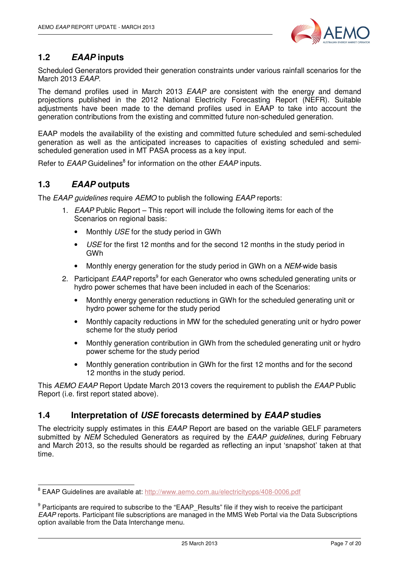

### **1.2 EAAP inputs**

Scheduled Generators provided their generation constraints under various rainfall scenarios for the March 2013 EAAP.

The demand profiles used in March 2013 EAAP are consistent with the energy and demand projections published in the 2012 National Electricity Forecasting Report (NEFR). Suitable adjustments have been made to the demand profiles used in EAAP to take into account the generation contributions from the existing and committed future non-scheduled generation.

EAAP models the availability of the existing and committed future scheduled and semi-scheduled generation as well as the anticipated increases to capacities of existing scheduled and semischeduled generation used in MT PASA process as a key input.

Refer to EAAP Guidelines<sup>8</sup> for information on the other EAAP inputs.

#### **1.3 EAAP outputs**

The EAAP quidelines require AEMO to publish the following EAAP reports:

- 1. EAAP Public Report This report will include the following items for each of the Scenarios on regional basis:
	- Monthly USE for the study period in GWh
	- USE for the first 12 months and for the second 12 months in the study period in GWh
	- Monthly energy generation for the study period in GWh on a NEM-wide basis
- 2. Participant EAAP reports<sup>9</sup> for each Generator who owns scheduled generating units or hydro power schemes that have been included in each of the Scenarios:
	- Monthly energy generation reductions in GWh for the scheduled generating unit or hydro power scheme for the study period
	- Monthly capacity reductions in MW for the scheduled generating unit or hydro power scheme for the study period
	- Monthly generation contribution in GWh from the scheduled generating unit or hydro power scheme for the study period
	- Monthly generation contribution in GWh for the first 12 months and for the second 12 months in the study period.

This AEMO EAAP Report Update March 2013 covers the requirement to publish the EAAP Public Report (i.e. first report stated above).

#### **1.4 Interpretation of USE forecasts determined by EAAP studies**

The electricity supply estimates in this *EAAP* Report are based on the variable GELF parameters submitted by NEM Scheduled Generators as required by the EAAP quidelines, during February and March 2013, so the results should be regarded as reflecting an input 'snapshot' taken at that time.

ersen.<br>8 EAAP Guidelines are available at: http://www.aemo.com.au/electricityops/408-0006.pdf

<sup>&</sup>lt;sup>9</sup> Participants are required to subscribe to the "EAAP\_Results" file if they wish to receive the participant EAAP reports. Participant file subscriptions are managed in the MMS Web Portal via the Data Subscriptions option available from the Data Interchange menu.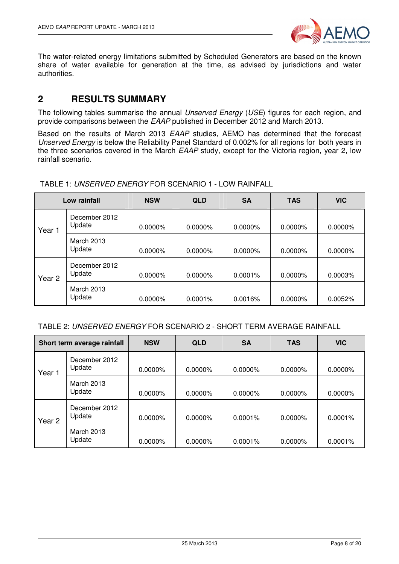

The water-related energy limitations submitted by Scheduled Generators are based on the known share of water available for generation at the time, as advised by jurisdictions and water authorities.

### **2 RESULTS SUMMARY**

The following tables summarise the annual Unserved Energy (USE) figures for each region, and provide comparisons between the EAAP published in December 2012 and March 2013.

Based on the results of March 2013 EAAP studies, AEMO has determined that the forecast Unserved Energy is below the Reliability Panel Standard of 0.002% for all regions for both years in the three scenarios covered in the March EAAP study, except for the Victoria region, year 2, low rainfall scenario.

| Low rainfall |                         | <b>NSW</b> | <b>QLD</b> | <b>SA</b>  | <b>TAS</b> | <b>VIC</b> |
|--------------|-------------------------|------------|------------|------------|------------|------------|
| Year 1       | December 2012<br>Update | $0.0000\%$ | $0.0000\%$ | $0.0000\%$ | $0.0000\%$ | 0.0000%    |
|              | March 2013<br>Update    | 0.0000%    | $0.0000\%$ | 0.0000%    | $0.0000\%$ | 0.0000%    |
| Year 2       | December 2012<br>Update | 0.0000%    | $0.0000\%$ | 0.0001%    | $0.0000\%$ | 0.0003%    |
|              | March 2013<br>Update    | 0.0000%    | $0.0001\%$ | 0.0016%    | 0.0000%    | 0.0052%    |

TABLE 1: UNSERVED ENERGY FOR SCENARIO 1 - LOW RAINFALL

| Short term average rainfall |                             | <b>NSW</b> | <b>QLD</b> | <b>SA</b>  | <b>TAS</b> | <b>VIC</b> |
|-----------------------------|-----------------------------|------------|------------|------------|------------|------------|
| Year 1                      | December 2012<br>Update     | 0.0000%    | $0.0000\%$ | 0.0000%    | $0.0000\%$ | $0.0000\%$ |
|                             | <b>March 2013</b><br>Update | 0.0000%    | $0.0000\%$ | 0.0000%    | $0.0000\%$ | $0.0000\%$ |
| Year <sub>2</sub>           | December 2012<br>Update     | $0.0000\%$ | $0.0000\%$ | $0.0001\%$ | $0.0000\%$ | $0.0001\%$ |
|                             | <b>March 2013</b><br>Update | $0.0000\%$ | $0.0000\%$ | $0.0001\%$ | $0.0000\%$ | $0.0001\%$ |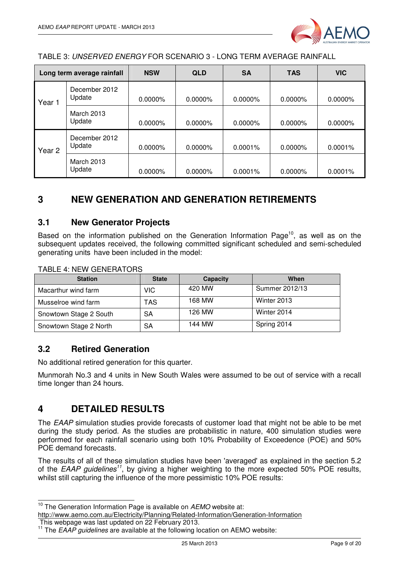

TABLE 3: UNSERVED ENERGY FOR SCENARIO 3 - LONG TERM AVERAGE RAINFALL

| Long term average rainfall |                                       | <b>NSW</b> | <b>QLD</b> | <b>SA</b> | <b>TAS</b> | <b>VIC</b> |
|----------------------------|---------------------------------------|------------|------------|-----------|------------|------------|
| Year 1                     | December 2012<br>Update<br>$0.0000\%$ |            | $0.0000\%$ | 0.0000%   | $0.0000\%$ | 0.0000%    |
|                            | March 2013<br>Update                  | $0.0000\%$ | $0.0000\%$ | 0.0000%   | $0.0000\%$ | $0.0000\%$ |
| Year <sub>2</sub>          | December 2012<br>Update               | $0.0000\%$ | $0.0000\%$ | 0.0001%   | $0.0000\%$ | $0.0001\%$ |
|                            | March 2013<br>Update                  | $0.0000\%$ | 0.0000%    | 0.0001%   | $0.0000\%$ | 0.0001%    |

## **3 NEW GENERATION AND GENERATION RETIREMENTS**

#### **3.1 New Generator Projects**

Based on the information published on the Generation Information Page<sup>10</sup>, as well as on the subsequent updates received, the following committed significant scheduled and semi-scheduled generating units have been included in the model:

| <b>Station</b>         | <b>State</b> | Capacity | When           |
|------------------------|--------------|----------|----------------|
| Macarthur wind farm    | VIC.         | 420 MW   | Summer 2012/13 |
| Musselroe wind farm    | TAS          | 168 MW   | Winter 2013    |
| Snowtown Stage 2 South | SA           | 126 MW   | Winter 2014    |
| Snowtown Stage 2 North | SА           | 144 MW   | Spring 2014    |

#### **3.2 Retired Generation**

No additional retired generation for this quarter.

Munmorah No.3 and 4 units in New South Wales were assumed to be out of service with a recall time longer than 24 hours.

#### **4 DETAILED RESULTS**

The EAAP simulation studies provide forecasts of customer load that might not be able to be met during the study period. As the studies are probabilistic in nature, 400 simulation studies were performed for each rainfall scenario using both 10% Probability of Exceedence (POE) and 50% POE demand forecasts.

The results of all of these simulation studies have been 'averaged' as explained in the section 5.2 of the EAAP guidelines<sup>11</sup>, by giving a higher weighting to the more expected 50% POE results, whilst still capturing the influence of the more pessimistic 10% POE results:

 $\overline{\phantom{a}}$  $10$  The Generation Information Page is available on  $AEMO$  website at:

http://www.aemo.com.au/Electricity/Planning/Related-Information/Generation-Information

This webpage was last updated on 22 February 2013.

<sup>&</sup>lt;sup>11</sup> The  $EAAP$  guidelines are available at the following location on AEMO website: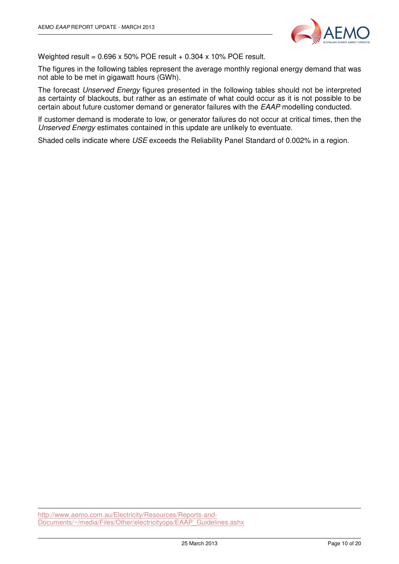

Weighted result =  $0.696 \times 50\%$  POE result +  $0.304 \times 10\%$  POE result.

The figures in the following tables represent the average monthly regional energy demand that was not able to be met in gigawatt hours (GWh).

The forecast Unserved Energy figures presented in the following tables should not be interpreted as certainty of blackouts, but rather as an estimate of what could occur as it is not possible to be certain about future customer demand or generator failures with the EAAP modelling conducted.

If customer demand is moderate to low, or generator failures do not occur at critical times, then the Unserved Energy estimates contained in this update are unlikely to eventuate.

Shaded cells indicate where USE exceeds the Reliability Panel Standard of 0.002% in a region.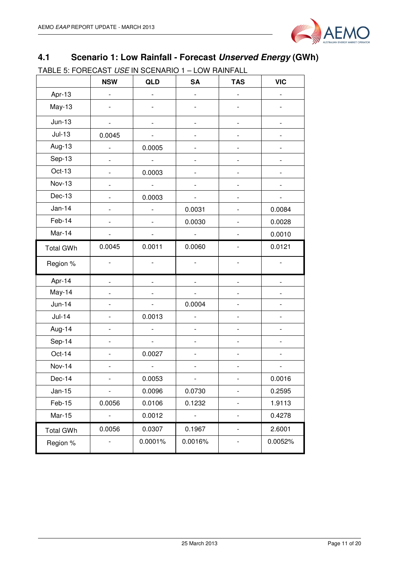

## **4.1 Scenario 1: Low Rainfall - Forecast Unserved Energy (GWh)**

TABLE 5: FORECAST USE IN SCENARIO 1 – LOW RAINFALL

|                  | <b>NSW</b>               | QLD            | <b>SA</b>                    | <b>TAS</b>                   | <b>VIC</b>               |
|------------------|--------------------------|----------------|------------------------------|------------------------------|--------------------------|
| Apr-13           | $\overline{a}$           |                |                              |                              |                          |
| May-13           |                          |                |                              |                              |                          |
| $Jun-13$         | $\overline{a}$           |                |                              | -                            |                          |
| $Jul-13$         | 0.0045                   |                |                              |                              |                          |
| Aug-13           |                          | 0.0005         |                              | -                            |                          |
| Sep-13           |                          | $\frac{1}{2}$  |                              |                              |                          |
| Oct-13           |                          | 0.0003         |                              |                              |                          |
| <b>Nov-13</b>    |                          |                |                              |                              |                          |
| Dec-13           |                          | 0.0003         |                              |                              |                          |
| $Jan-14$         |                          |                | 0.0031                       |                              | 0.0084                   |
| Feb-14           |                          |                | 0.0030                       |                              | 0.0028                   |
| Mar-14           |                          |                | $\blacksquare$               |                              | 0.0010                   |
| <b>Total GWh</b> | 0.0045                   | 0.0011         | 0.0060                       |                              | 0.0121                   |
| Region %         |                          |                |                              |                              |                          |
| Apr-14           |                          |                |                              |                              |                          |
| May-14           |                          |                |                              |                              |                          |
| $Jun-14$         |                          |                | 0.0004                       |                              |                          |
| $Jul-14$         | $\overline{a}$           | 0.0013         | $\qquad \qquad \blacksquare$ | $\qquad \qquad \blacksquare$ | $\overline{\phantom{0}}$ |
| Aug-14           | $\overline{a}$           | $\overline{a}$ | $\overline{\phantom{0}}$     | -                            |                          |
| Sep-14           | $\overline{a}$           | $\blacksquare$ | $\qquad \qquad \blacksquare$ | $\overline{\phantom{0}}$     | $\overline{\phantom{0}}$ |
| Oct-14           |                          | 0.0027         |                              |                              |                          |
| Nov-14           |                          |                |                              |                              |                          |
| Dec-14           |                          | 0.0053         | $\overline{\phantom{0}}$     | $\overline{\phantom{0}}$     | 0.0016                   |
| $Jan-15$         |                          | 0.0096         | 0.0730                       |                              | 0.2595                   |
| Feb-15           | 0.0056                   | 0.0106         | 0.1232                       | -                            | 1.9113                   |
| Mar-15           | $\overline{\phantom{a}}$ | 0.0012         | $\blacksquare$               | $\overline{\phantom{0}}$     | 0.4278                   |
| <b>Total GWh</b> | 0.0056                   | 0.0307         | 0.1967                       | $\overline{\phantom{0}}$     | 2.6001                   |
| Region %         |                          | 0.0001%        | 0.0016%                      | -                            | 0.0052%                  |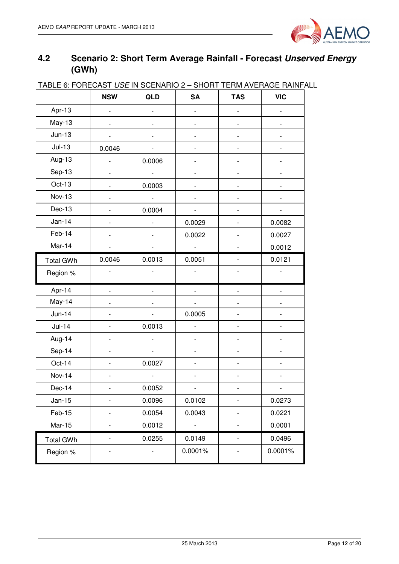

## **4.2 Scenario 2: Short Term Average Rainfall - Forecast Unserved Energy (GWh)**

|                  | <b>NSW</b>                   | <b>QLD</b>                   | <b>SA</b>                | <b>TAS</b>               | <b>VIC</b>                   |
|------------------|------------------------------|------------------------------|--------------------------|--------------------------|------------------------------|
| Apr-13           |                              |                              |                          |                          |                              |
| May-13           |                              |                              |                          |                          |                              |
| $Jun-13$         |                              |                              |                          |                          |                              |
| $Jul-13$         | 0.0046                       |                              |                          |                          |                              |
| Aug-13           |                              | 0.0006                       |                          |                          |                              |
| Sep-13           | $\overline{a}$               | $\overline{\phantom{a}}$     |                          |                          |                              |
| Oct-13           | -                            | 0.0003                       |                          | $\overline{\phantom{a}}$ |                              |
| <b>Nov-13</b>    |                              | $\blacksquare$               |                          |                          |                              |
| Dec-13           |                              | 0.0004                       |                          |                          |                              |
| $Jan-14$         |                              |                              | 0.0029                   |                          | 0.0082                       |
| Feb-14           |                              |                              | 0.0022                   |                          | 0.0027                       |
| Mar-14           |                              |                              |                          |                          | 0.0012                       |
| <b>Total GWh</b> | 0.0046                       | 0.0013                       | 0.0051                   |                          | 0.0121                       |
| Region %         |                              | $\qquad \qquad \blacksquare$ |                          |                          |                              |
| Apr-14           |                              |                              |                          |                          |                              |
| May-14           |                              |                              |                          |                          |                              |
| $Jun-14$         |                              |                              | 0.0005                   |                          |                              |
| $Jul-14$         |                              | 0.0013                       | $\overline{a}$           |                          |                              |
| Aug-14           | $\qquad \qquad \blacksquare$ | $\overline{a}$               | $\overline{a}$           | $\overline{\phantom{a}}$ | $\qquad \qquad \blacksquare$ |
| Sep-14           | Ĭ.                           | $\blacksquare$               | $\overline{a}$           |                          |                              |
| Oct-14           | $\overline{a}$               | 0.0027                       | $\overline{a}$           |                          | $\overline{\phantom{0}}$     |
| <b>Nov-14</b>    | -                            |                              |                          | $\overline{a}$           |                              |
| Dec-14           |                              | 0.0052                       |                          |                          |                              |
| Jan-15           |                              | 0.0096                       | 0.0102                   |                          | 0.0273                       |
| Feb-15           |                              | 0.0054                       | 0.0043                   |                          | 0.0221                       |
| Mar-15           |                              | 0.0012                       | $\overline{\phantom{a}}$ |                          | 0.0001                       |
| <b>Total GWh</b> | $\qquad \qquad \blacksquare$ | 0.0255                       | 0.0149                   | $\overline{\phantom{a}}$ | 0.0496                       |
| Region %         |                              |                              | 0.0001%                  |                          | 0.0001%                      |

#### TABLE 6: FORECAST USE IN SCENARIO 2 – SHORT TERM AVERAGE RAINFALL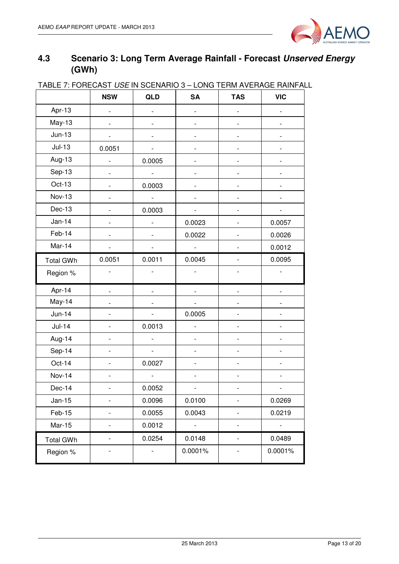

## **4.3 Scenario 3: Long Term Average Rainfall - Forecast Unserved Energy (GWh)**

| <b>INDEE 7.1 OFTEDAD FOUL IN OULIVALITY J</b> | <b>NSW</b>               | QLD                      | <b>SA</b>                | <b>TAS</b> | $\sim$ LONG TERM AVERAGE LIAIN F<br><b>VIC</b> |
|-----------------------------------------------|--------------------------|--------------------------|--------------------------|------------|------------------------------------------------|
| Apr-13                                        | $\overline{\phantom{0}}$ | -                        | $\overline{\phantom{0}}$ |            |                                                |
| May-13                                        |                          |                          | $\qquad \qquad -$        |            |                                                |
| $Jun-13$                                      |                          | $\overline{a}$           | $\overline{\phantom{0}}$ |            |                                                |
| $Jul-13$                                      | 0.0051                   |                          |                          |            |                                                |
| Aug-13                                        |                          | 0.0005                   | -                        |            |                                                |
| Sep-13                                        |                          |                          |                          |            |                                                |
| Oct-13                                        |                          | 0.0003                   |                          |            |                                                |
| <b>Nov-13</b>                                 |                          |                          |                          |            |                                                |
| $Dec-13$                                      |                          | 0.0003                   |                          |            |                                                |
| $Jan-14$                                      |                          |                          | 0.0023                   |            | 0.0057                                         |
| Feb-14                                        |                          |                          | 0.0022                   |            | 0.0026                                         |
| Mar-14                                        |                          |                          | $\overline{\phantom{a}}$ |            | 0.0012                                         |
| <b>Total GWh</b>                              | 0.0051                   | 0.0011                   | 0.0045                   |            | 0.0095                                         |
| Region %                                      | $\overline{\phantom{0}}$ | $\overline{\phantom{0}}$ | $\overline{\phantom{0}}$ |            |                                                |
| Apr-14                                        |                          |                          |                          |            |                                                |
| May-14                                        |                          |                          |                          |            |                                                |
| $Jun-14$                                      |                          |                          | 0.0005                   |            |                                                |
| $Jul-14$                                      |                          | 0.0013                   | $\overline{a}$           |            |                                                |
| Aug-14                                        |                          |                          |                          |            |                                                |
| Sep-14                                        |                          |                          |                          |            |                                                |
| Oct-14                                        |                          | 0.0027                   |                          |            |                                                |
| <b>Nov-14</b>                                 |                          | $\overline{a}$           |                          |            |                                                |
| $Dec-14$                                      |                          | 0.0052                   | $\sim$                   |            | $\sim$                                         |
| Jan-15                                        | $\overline{\phantom{0}}$ | 0.0096                   | 0.0100                   |            | 0.0269                                         |
| Feb-15                                        | -                        | 0.0055                   | 0.0043                   |            | 0.0219                                         |
| <b>Mar-15</b>                                 | -                        | 0.0012                   | $\blacksquare$           |            | $\overline{\phantom{a}}$                       |
| <b>Total GWh</b>                              | $\qquad \qquad -$        | 0.0254                   | 0.0148                   |            | 0.0489                                         |
| Region %                                      |                          |                          | 0.0001%                  |            | 0.0001%                                        |

#### TABLE 7: FORECAST USE IN SCENARIO 3 – LONG TERM AVERAGE RAINFALL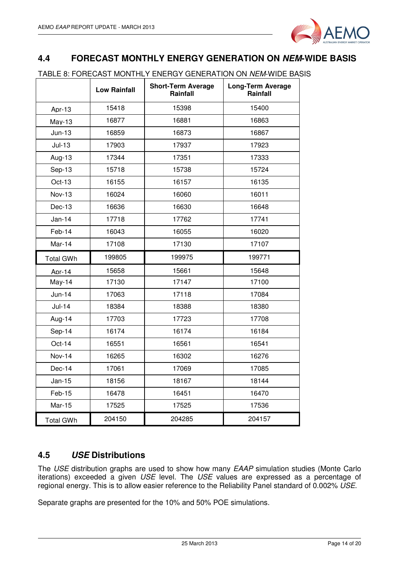

### **4.4 FORECAST MONTHLY ENERGY GENERATION ON NEM-WIDE BASIS**

TABLE 8: FORECAST MONTHLY ENERGY GENERATION ON NEM-WIDE BASIS

|                  | <b>Low Rainfall</b> | <b>Short-Term Average</b><br>Rainfall | <b>Long-Term Average</b><br>Rainfall |
|------------------|---------------------|---------------------------------------|--------------------------------------|
| Apr-13           | 15418               | 15398                                 | 15400                                |
| $May-13$         | 16877               | 16881                                 | 16863                                |
| $Jun-13$         | 16859               | 16873                                 | 16867                                |
| $Jul-13$         | 17903               | 17937                                 | 17923                                |
| Aug-13           | 17344               | 17351                                 | 17333                                |
| Sep-13           | 15718               | 15738                                 | 15724                                |
| Oct-13           | 16155               | 16157                                 | 16135                                |
| <b>Nov-13</b>    | 16024               | 16060                                 | 16011                                |
| $Dec-13$         | 16636               | 16630                                 | 16648                                |
| Jan-14           | 17718               | 17762                                 | 17741                                |
| Feb-14           | 16043               | 16055                                 | 16020                                |
| Mar-14           | 17108               | 17130                                 | 17107                                |
| <b>Total GWh</b> | 199805              | 199975                                | 199771                               |
| Anr-14           | 15658               | 15661                                 | 15648                                |
| $May-14$         | 17130               | 17147                                 | 17100                                |
| $Jun-14$         | 17063               | 17118                                 | 17084                                |
| $Jul-14$         | 18384               | 18388                                 | 18380                                |
| Aug-14           | 17703               | 17723                                 | 17708                                |
| Sep-14           | 16174               | 16174                                 | 16184                                |
| $Oct-14$         | 16551               | 16561                                 | 16541                                |
| <b>Nov-14</b>    | 16265               | 16302                                 | 16276                                |
| Dec-14           | 17061               | 17069                                 | 17085                                |
| Jan-15           | 18156               | 18167                                 | 18144                                |
| Feb-15           | 16478               | 16451                                 | 16470                                |
| <b>Mar-15</b>    | 17525               | 17525                                 | 17536                                |
| <b>Total GWh</b> | 204150              | 204285                                | 204157                               |

#### **4.5 USE Distributions**

The USE distribution graphs are used to show how many EAAP simulation studies (Monte Carlo iterations) exceeded a given USE level. The USE values are expressed as a percentage of regional energy. This is to allow easier reference to the Reliability Panel standard of 0.002% USE.

Separate graphs are presented for the 10% and 50% POE simulations.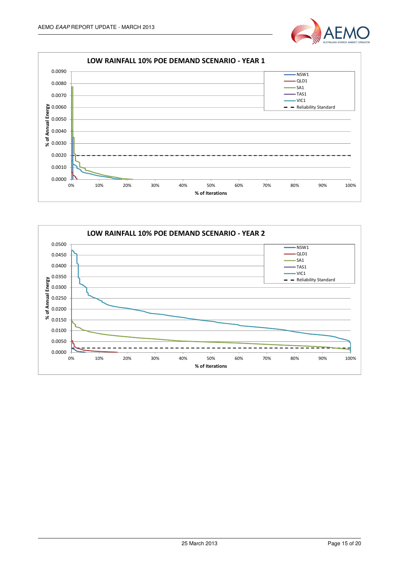



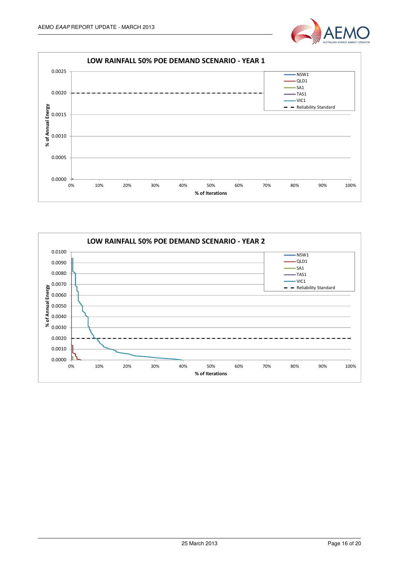



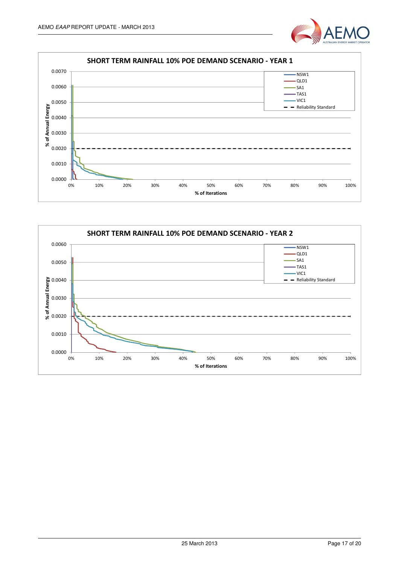



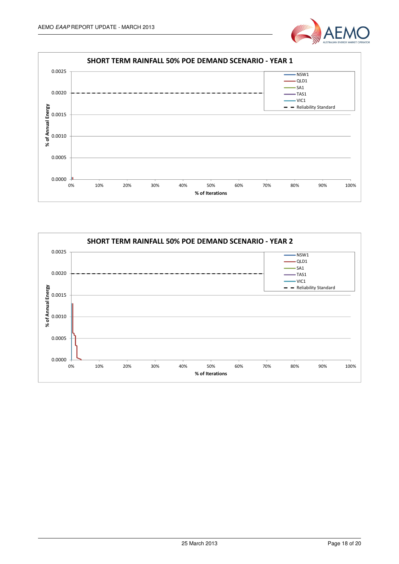



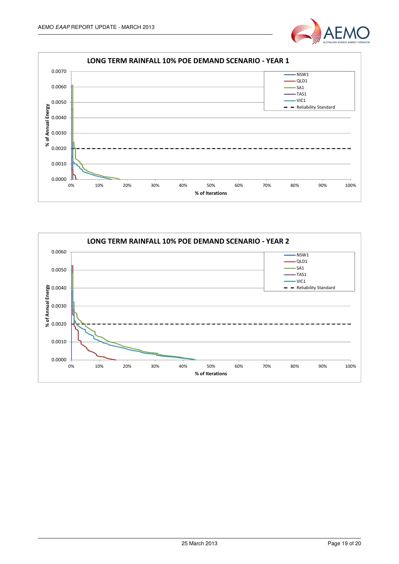